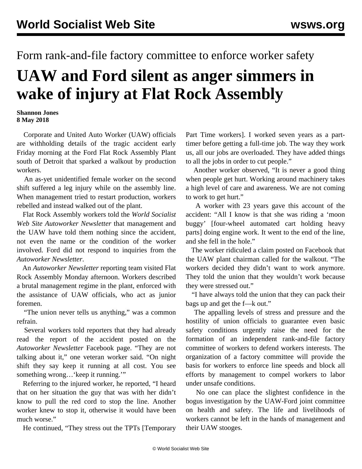## Form rank-and-file factory committee to enforce worker safety

## **UAW and Ford silent as anger simmers in wake of injury at Flat Rock Assembly**

## **Shannon Jones 8 May 2018**

 Corporate and United Auto Worker (UAW) officials are withholding details of the tragic accident early Friday morning at the Ford Flat Rock Assembly Plant south of Detroit that sparked a walkout by production workers.

 An as-yet unidentified female worker on the second shift suffered a leg injury while on the assembly line. When management tried to restart production, workers rebelled and instead walked out of the plant.

 Flat Rock Assembly workers told the *World Socialist Web Site Autoworker Newsletter* that management and the UAW have told them nothing since the accident, not even the name or the condition of the worker involved. Ford did not respond to inquiries from the *Autoworker Newsletter*.

 An *Autoworker Newsletter* reporting team visited Flat Rock Assembly Monday afternoon. Workers described a brutal management regime in the plant, enforced with the assistance of UAW officials, who act as junior foremen.

"The union never tells us anything," was a common refrain.

 Several workers told reporters that they had already read the [report](/en/articles/2018/05/07/flat-m07.html) of the accident posted on the *Autoworker Newsletter* [Facebook](https://www.facebook.com/autoworker.newsletter/) page. "They are not talking about it," one veteran worker said. "On night shift they say keep it running at all cost. You see something wrong... 'keep it running.'"

 Referring to the injured worker, he reported, "I heard that on her situation the guy that was with her didn't know to pull the red cord to stop the line. Another worker knew to stop it, otherwise it would have been much worse."

He continued, "They stress out the TPTs [Temporary

Part Time workers]. I worked seven years as a parttimer before getting a full-time job. The way they work us, all our jobs are overloaded. They have added things to all the jobs in order to cut people."

 Another worker observed, "It is never a good thing when people get hurt. Working around machinery takes a high level of care and awareness. We are not coming to work to get hurt."

 A worker with 23 years gave this account of the accident: "All I know is that she was riding a 'moon buggy' [four-wheel automated cart holding heavy parts] doing engine work. It went to the end of the line, and she fell in the hole."

 The worker ridiculed a claim posted on Facebook that the UAW plant chairman called for the walkout. "The workers decided they didn't want to work anymore. They told the union that they wouldn't work because they were stressed out."

 "I have always told the union that they can pack their bags up and get the f—k out."

 The appalling levels of stress and pressure and the hostility of union officials to guarantee even basic safety conditions urgently raise the need for the formation of an independent rank-and-file factory committee of workers to defend workers interests. The organization of a factory committee will provide the basis for workers to enforce line speeds and block all efforts by management to compel workers to labor under unsafe conditions.

 No one can place the slightest confidence in the bogus investigation by the UAW-Ford joint committee on health and safety. The life and livelihoods of workers cannot be left in the hands of management and their UAW stooges.